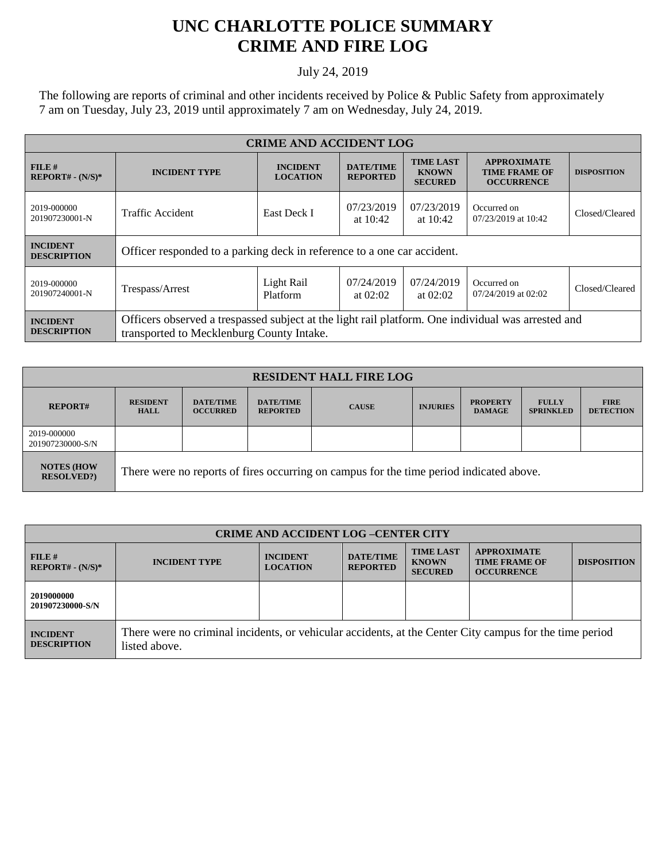## **UNC CHARLOTTE POLICE SUMMARY CRIME AND FIRE LOG**

## July 24, 2019

The following are reports of criminal and other incidents received by Police & Public Safety from approximately 7 am on Tuesday, July 23, 2019 until approximately 7 am on Wednesday, July 24, 2019.

| <b>CRIME AND ACCIDENT LOG</b>         |                                                                                                                                                 |                                    |                                     |                                                    |                                                                 |                    |
|---------------------------------------|-------------------------------------------------------------------------------------------------------------------------------------------------|------------------------------------|-------------------------------------|----------------------------------------------------|-----------------------------------------------------------------|--------------------|
| FILE H<br>$REPORT# - (N/S)*$          | <b>INCIDENT TYPE</b>                                                                                                                            | <b>INCIDENT</b><br><b>LOCATION</b> | <b>DATE/TIME</b><br><b>REPORTED</b> | <b>TIME LAST</b><br><b>KNOWN</b><br><b>SECURED</b> | <b>APPROXIMATE</b><br><b>TIME FRAME OF</b><br><b>OCCURRENCE</b> | <b>DISPOSITION</b> |
| 2019-000000<br>201907230001-N         | East Deck I<br>Traffic Accident                                                                                                                 |                                    | 07/23/2019<br>at $10:42$            | 07/23/2019<br>at $10:42$                           | Occurred on<br>07/23/2019 at 10:42                              | Closed/Cleared     |
| <b>INCIDENT</b><br><b>DESCRIPTION</b> | Officer responded to a parking deck in reference to a one car accident.                                                                         |                                    |                                     |                                                    |                                                                 |                    |
| 2019-000000<br>201907240001-N         | Trespass/Arrest                                                                                                                                 | Light Rail<br>Platform             | 07/24/2019<br>at $02:02$            | 07/24/2019<br>at $02:02$                           | Occurred on<br>07/24/2019 at 02:02                              | Closed/Cleared     |
| <b>INCIDENT</b><br><b>DESCRIPTION</b> | Officers observed a trespassed subject at the light rail platform. One individual was arrested and<br>transported to Mecklenburg County Intake. |                                    |                                     |                                                    |                                                                 |                    |

| <b>RESIDENT HALL FIRE LOG</b>         |                                                                                         |                                     |                                     |              |                 |                                  |                                  |                                 |
|---------------------------------------|-----------------------------------------------------------------------------------------|-------------------------------------|-------------------------------------|--------------|-----------------|----------------------------------|----------------------------------|---------------------------------|
| <b>REPORT#</b>                        | <b>RESIDENT</b><br><b>HALL</b>                                                          | <b>DATE/TIME</b><br><b>OCCURRED</b> | <b>DATE/TIME</b><br><b>REPORTED</b> | <b>CAUSE</b> | <b>INJURIES</b> | <b>PROPERTY</b><br><b>DAMAGE</b> | <b>FULLY</b><br><b>SPRINKLED</b> | <b>FIRE</b><br><b>DETECTION</b> |
| 2019-000000<br>201907230000-S/N       |                                                                                         |                                     |                                     |              |                 |                                  |                                  |                                 |
| <b>NOTES (HOW</b><br><b>RESOLVED?</b> | There were no reports of fires occurring on campus for the time period indicated above. |                                     |                                     |              |                 |                                  |                                  |                                 |

| <b>CRIME AND ACCIDENT LOG-CENTER CITY</b> |                                                                                                                          |                                    |                                     |                                                    |                                                                 |                    |
|-------------------------------------------|--------------------------------------------------------------------------------------------------------------------------|------------------------------------|-------------------------------------|----------------------------------------------------|-----------------------------------------------------------------|--------------------|
| FILE#<br>$REPORT# - (N/S)*$               | <b>INCIDENT TYPE</b>                                                                                                     | <b>INCIDENT</b><br><b>LOCATION</b> | <b>DATE/TIME</b><br><b>REPORTED</b> | <b>TIME LAST</b><br><b>KNOWN</b><br><b>SECURED</b> | <b>APPROXIMATE</b><br><b>TIME FRAME OF</b><br><b>OCCURRENCE</b> | <b>DISPOSITION</b> |
| 2019000000<br>201907230000-S/N            |                                                                                                                          |                                    |                                     |                                                    |                                                                 |                    |
| <b>INCIDENT</b><br><b>DESCRIPTION</b>     | There were no criminal incidents, or vehicular accidents, at the Center City campus for the time period<br>listed above. |                                    |                                     |                                                    |                                                                 |                    |